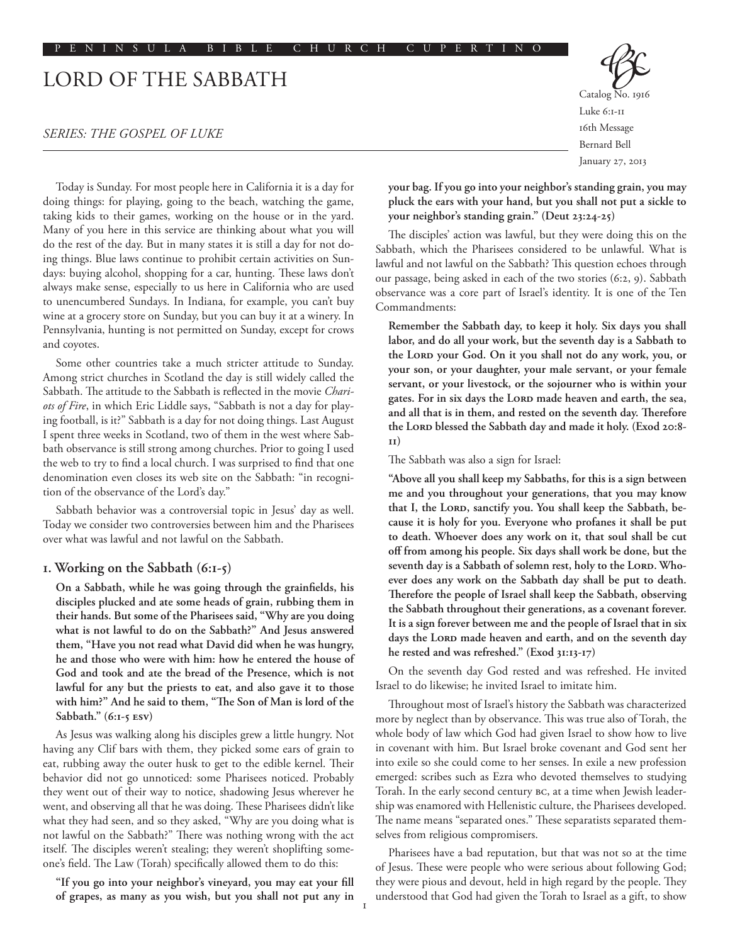# Lord of the Sabbath

### *Series: The Gospel of Luke*

Today is Sunday. For most people here in California it is a day for doing things: for playing, going to the beach, watching the game, taking kids to their games, working on the house or in the yard. Many of you here in this service are thinking about what you will do the rest of the day. But in many states it is still a day for not doing things. Blue laws continue to prohibit certain activities on Sundays: buying alcohol, shopping for a car, hunting. These laws don't always make sense, especially to us here in California who are used to unencumbered Sundays. In Indiana, for example, you can't buy wine at a grocery store on Sunday, but you can buy it at a winery. In Pennsylvania, hunting is not permitted on Sunday, except for crows and coyotes.

Some other countries take a much stricter attitude to Sunday. Among strict churches in Scotland the day is still widely called the Sabbath. The attitude to the Sabbath is reflected in the movie *Chariots of Fire*, in which Eric Liddle says, "Sabbath is not a day for playing football, is it?" Sabbath is a day for not doing things. Last August I spent three weeks in Scotland, two of them in the west where Sabbath observance is still strong among churches. Prior to going I used the web to try to find a local church. I was surprised to find that one denomination even closes its web site on the Sabbath: "in recognition of the observance of the Lord's day."

Sabbath behavior was a controversial topic in Jesus' day as well. Today we consider two controversies between him and the Pharisees over what was lawful and not lawful on the Sabbath.

## **1. Working on the Sabbath (6:1-5)**

**On a Sabbath, while he was going through the grainfields, his disciples plucked and ate some heads of grain, rubbing them in their hands. But some of the Pharisees said, "Why are you doing what is not lawful to do on the Sabbath?" And Jesus answered them, "Have you not read what David did when he was hungry, he and those who were with him: how he entered the house of God and took and ate the bread of the Presence, which is not lawful for any but the priests to eat, and also gave it to those with him?" And he said to them, "The Son of Man is lord of the Sabbath." (6:1-5 ESV)**

As Jesus was walking along his disciples grew a little hungry. Not having any Clif bars with them, they picked some ears of grain to eat, rubbing away the outer husk to get to the edible kernel. Their behavior did not go unnoticed: some Pharisees noticed. Probably they went out of their way to notice, shadowing Jesus wherever he went, and observing all that he was doing. These Pharisees didn't like what they had seen, and so they asked, "Why are you doing what is not lawful on the Sabbath?" There was nothing wrong with the act itself. The disciples weren't stealing; they weren't shoplifting someone's field. The Law (Torah) specifically allowed them to do this:

**"If you go into your neighbor's vineyard, you may eat your fill of grapes, as many as you wish, but you shall not put any in**  Catalog No. 1916 Luke 6:1-11 16th Message Bernard Bell January 27, 2013

**your bag. If you go into your neighbor's standing grain, you may pluck the ears with your hand, but you shall not put a sickle to your neighbor's standing grain." (Deut 23:24-25)**

The disciples' action was lawful, but they were doing this on the Sabbath, which the Pharisees considered to be unlawful. What is lawful and not lawful on the Sabbath? This question echoes through our passage, being asked in each of the two stories (6:2, 9). Sabbath observance was a core part of Israel's identity. It is one of the Ten Commandments:

**Remember the Sabbath day, to keep it holy. Six days you shall labor, and do all your work, but the seventh day is a Sabbath to**  the LORD your God. On it you shall not do any work, you, or **your son, or your daughter, your male servant, or your female servant, or your livestock, or the sojourner who is within your**  gates. For in six days the LORD made heaven and earth, the sea, **and all that is in them, and rested on the seventh day. Therefore**  the Lord blessed the Sabbath day and made it holy. (Exod 20:8-**11)**

The Sabbath was also a sign for Israel:

**"Above all you shall keep my Sabbaths, for this is a sign between me and you throughout your generations, that you may know**  that I, the LORD, sanctify you. You shall keep the Sabbath, be**cause it is holy for you. Everyone who profanes it shall be put to death. Whoever does any work on it, that soul shall be cut off from among his people. Six days shall work be done, but the**  seventh day is a Sabbath of solemn rest, holy to the LORD. Who**ever does any work on the Sabbath day shall be put to death. Therefore the people of Israel shall keep the Sabbath, observing the Sabbath throughout their generations, as a covenant forever. It is a sign forever between me and the people of Israel that in six**  days the LORD made heaven and earth, and on the seventh day **he rested and was refreshed." (Exod 31:13-17)**

On the seventh day God rested and was refreshed. He invited Israel to do likewise; he invited Israel to imitate him.

Throughout most of Israel's history the Sabbath was characterized more by neglect than by observance. This was true also of Torah, the whole body of law which God had given Israel to show how to live in covenant with him. But Israel broke covenant and God sent her into exile so she could come to her senses. In exile a new profession emerged: scribes such as Ezra who devoted themselves to studying Torah. In the early second century BC, at a time when Jewish leadership was enamored with Hellenistic culture, the Pharisees developed. The name means "separated ones." These separatists separated themselves from religious compromisers.

Pharisees have a bad reputation, but that was not so at the time of Jesus. These were people who were serious about following God; they were pious and devout, held in high regard by the people. They understood that God had given the Torah to Israel as a gift, to show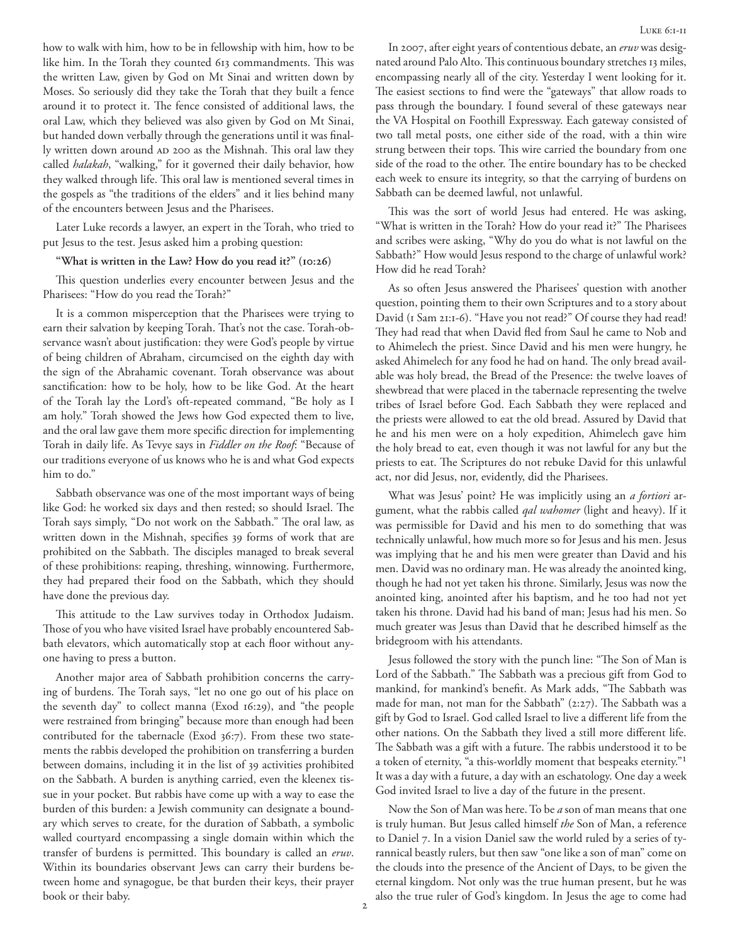how to walk with him, how to be in fellowship with him, how to be like him. In the Torah they counted 613 commandments. This was the written Law, given by God on Mt Sinai and written down by Moses. So seriously did they take the Torah that they built a fence around it to protect it. The fence consisted of additional laws, the oral Law, which they believed was also given by God on Mt Sinai, but handed down verbally through the generations until it was finally written down around AD 200 as the Mishnah. This oral law they called *halakah*, "walking," for it governed their daily behavior, how they walked through life. This oral law is mentioned several times in the gospels as "the traditions of the elders" and it lies behind many of the encounters between Jesus and the Pharisees.

Later Luke records a lawyer, an expert in the Torah, who tried to put Jesus to the test. Jesus asked him a probing question:

#### **"What is written in the Law? How do you read it?" (10:26)**

This question underlies every encounter between Jesus and the Pharisees: "How do you read the Torah?"

It is a common misperception that the Pharisees were trying to earn their salvation by keeping Torah. That's not the case. Torah-observance wasn't about justification: they were God's people by virtue of being children of Abraham, circumcised on the eighth day with the sign of the Abrahamic covenant. Torah observance was about sanctification: how to be holy, how to be like God. At the heart of the Torah lay the Lord's oft-repeated command, "Be holy as I am holy." Torah showed the Jews how God expected them to live, and the oral law gave them more specific direction for implementing Torah in daily life. As Tevye says in *Fiddler on the Roof*: "Because of our traditions everyone of us knows who he is and what God expects him to do."

Sabbath observance was one of the most important ways of being like God: he worked six days and then rested; so should Israel. The Torah says simply, "Do not work on the Sabbath." The oral law, as written down in the Mishnah, specifies 39 forms of work that are prohibited on the Sabbath. The disciples managed to break several of these prohibitions: reaping, threshing, winnowing. Furthermore, they had prepared their food on the Sabbath, which they should have done the previous day.

This attitude to the Law survives today in Orthodox Judaism. Those of you who have visited Israel have probably encountered Sabbath elevators, which automatically stop at each floor without anyone having to press a button.

Another major area of Sabbath prohibition concerns the carrying of burdens. The Torah says, "let no one go out of his place on the seventh day" to collect manna (Exod 16:29), and "the people were restrained from bringing" because more than enough had been contributed for the tabernacle (Exod 36:7). From these two statements the rabbis developed the prohibition on transferring a burden between domains, including it in the list of 39 activities prohibited on the Sabbath. A burden is anything carried, even the kleenex tissue in your pocket. But rabbis have come up with a way to ease the burden of this burden: a Jewish community can designate a boundary which serves to create, for the duration of Sabbath, a symbolic walled courtyard encompassing a single domain within which the transfer of burdens is permitted. This boundary is called an *eruv*. Within its boundaries observant Jews can carry their burdens between home and synagogue, be that burden their keys, their prayer book or their baby.

In 2007, after eight years of contentious debate, an *eruv* was designated around Palo Alto. This continuous boundary stretches 13 miles, encompassing nearly all of the city. Yesterday I went looking for it. The easiest sections to find were the "gateways" that allow roads to pass through the boundary. I found several of these gateways near the VA Hospital on Foothill Expressway. Each gateway consisted of two tall metal posts, one either side of the road, with a thin wire strung between their tops. This wire carried the boundary from one side of the road to the other. The entire boundary has to be checked each week to ensure its integrity, so that the carrying of burdens on Sabbath can be deemed lawful, not unlawful.

This was the sort of world Jesus had entered. He was asking, "What is written in the Torah? How do your read it?" The Pharisees and scribes were asking, "Why do you do what is not lawful on the Sabbath?" How would Jesus respond to the charge of unlawful work? How did he read Torah?

As so often Jesus answered the Pharisees' question with another question, pointing them to their own Scriptures and to a story about David (1 Sam 21:1-6). "Have you not read?" Of course they had read! They had read that when David fled from Saul he came to Nob and to Ahimelech the priest. Since David and his men were hungry, he asked Ahimelech for any food he had on hand. The only bread available was holy bread, the Bread of the Presence: the twelve loaves of shewbread that were placed in the tabernacle representing the twelve tribes of Israel before God. Each Sabbath they were replaced and the priests were allowed to eat the old bread. Assured by David that he and his men were on a holy expedition, Ahimelech gave him the holy bread to eat, even though it was not lawful for any but the priests to eat. The Scriptures do not rebuke David for this unlawful act, nor did Jesus, nor, evidently, did the Pharisees.

What was Jesus' point? He was implicitly using an *a fortiori* argument, what the rabbis called *qal wahomer* (light and heavy). If it was permissible for David and his men to do something that was technically unlawful, how much more so for Jesus and his men. Jesus was implying that he and his men were greater than David and his men. David was no ordinary man. He was already the anointed king, though he had not yet taken his throne. Similarly, Jesus was now the anointed king, anointed after his baptism, and he too had not yet taken his throne. David had his band of man; Jesus had his men. So much greater was Jesus than David that he described himself as the bridegroom with his attendants.

Jesus followed the story with the punch line: "The Son of Man is Lord of the Sabbath." The Sabbath was a precious gift from God to mankind, for mankind's benefit. As Mark adds, "The Sabbath was made for man, not man for the Sabbath" (2:27). The Sabbath was a gift by God to Israel. God called Israel to live a different life from the other nations. On the Sabbath they lived a still more different life. The Sabbath was a gift with a future. The rabbis understood it to be a token of eternity, "a this-worldly moment that bespeaks eternity."1 It was a day with a future, a day with an eschatology. One day a week God invited Israel to live a day of the future in the present.

Now the Son of Man was here. To be *a* son of man means that one is truly human. But Jesus called himself *the* Son of Man, a reference to Daniel 7. In a vision Daniel saw the world ruled by a series of tyrannical beastly rulers, but then saw "one like a son of man" come on the clouds into the presence of the Ancient of Days, to be given the eternal kingdom. Not only was the true human present, but he was also the true ruler of God's kingdom. In Jesus the age to come had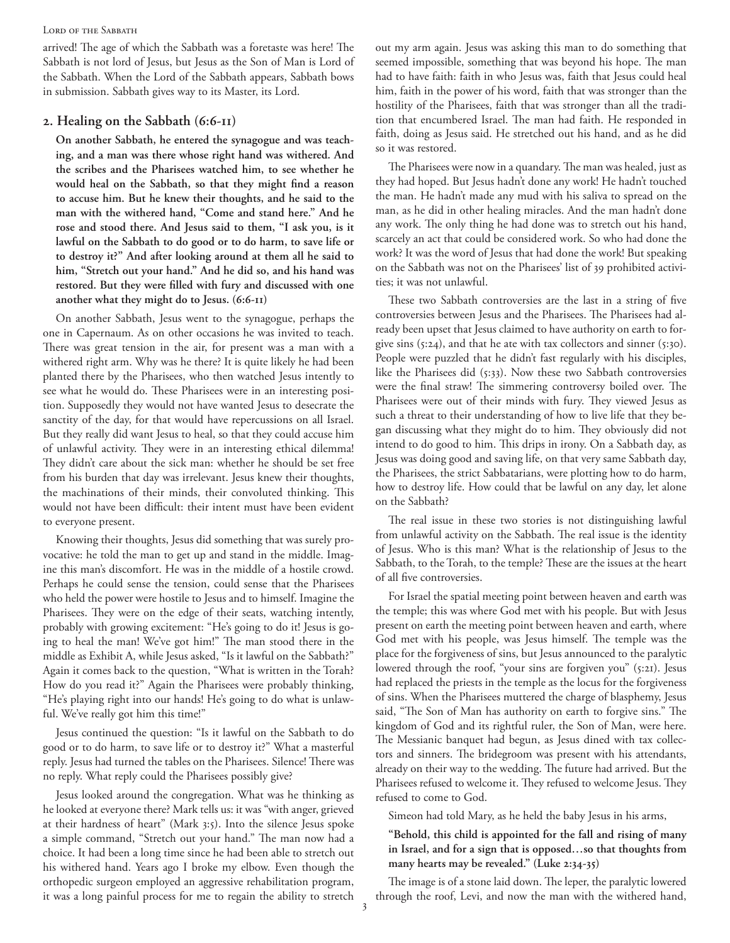#### LORD OF THE SABBATH

arrived! The age of which the Sabbath was a foretaste was here! The Sabbath is not lord of Jesus, but Jesus as the Son of Man is Lord of the Sabbath. When the Lord of the Sabbath appears, Sabbath bows in submission. Sabbath gives way to its Master, its Lord.

## **2. Healing on the Sabbath (6:6-11)**

**On another Sabbath, he entered the synagogue and was teaching, and a man was there whose right hand was withered. And the scribes and the Pharisees watched him, to see whether he would heal on the Sabbath, so that they might find a reason to accuse him. But he knew their thoughts, and he said to the man with the withered hand, "Come and stand here." And he rose and stood there. And Jesus said to them, "I ask you, is it lawful on the Sabbath to do good or to do harm, to save life or to destroy it?" And after looking around at them all he said to him, "Stretch out your hand." And he did so, and his hand was restored. But they were filled with fury and discussed with one another what they might do to Jesus. (6:6-11)**

On another Sabbath, Jesus went to the synagogue, perhaps the one in Capernaum. As on other occasions he was invited to teach. There was great tension in the air, for present was a man with a withered right arm. Why was he there? It is quite likely he had been planted there by the Pharisees, who then watched Jesus intently to see what he would do. These Pharisees were in an interesting position. Supposedly they would not have wanted Jesus to desecrate the sanctity of the day, for that would have repercussions on all Israel. But they really did want Jesus to heal, so that they could accuse him of unlawful activity. They were in an interesting ethical dilemma! They didn't care about the sick man: whether he should be set free from his burden that day was irrelevant. Jesus knew their thoughts, the machinations of their minds, their convoluted thinking. This would not have been difficult: their intent must have been evident to everyone present.

Knowing their thoughts, Jesus did something that was surely provocative: he told the man to get up and stand in the middle. Imagine this man's discomfort. He was in the middle of a hostile crowd. Perhaps he could sense the tension, could sense that the Pharisees who held the power were hostile to Jesus and to himself. Imagine the Pharisees. They were on the edge of their seats, watching intently, probably with growing excitement: "He's going to do it! Jesus is going to heal the man! We've got him!" The man stood there in the middle as Exhibit A, while Jesus asked, "Is it lawful on the Sabbath?" Again it comes back to the question, "What is written in the Torah? How do you read it?" Again the Pharisees were probably thinking, "He's playing right into our hands! He's going to do what is unlawful. We've really got him this time!"

Jesus continued the question: "Is it lawful on the Sabbath to do good or to do harm, to save life or to destroy it?" What a masterful reply. Jesus had turned the tables on the Pharisees. Silence! There was no reply. What reply could the Pharisees possibly give?

Jesus looked around the congregation. What was he thinking as he looked at everyone there? Mark tells us: it was "with anger, grieved at their hardness of heart" (Mark 3:5). Into the silence Jesus spoke a simple command, "Stretch out your hand." The man now had a choice. It had been a long time since he had been able to stretch out his withered hand. Years ago I broke my elbow. Even though the orthopedic surgeon employed an aggressive rehabilitation program, it was a long painful process for me to regain the ability to stretch out my arm again. Jesus was asking this man to do something that seemed impossible, something that was beyond his hope. The man had to have faith: faith in who Jesus was, faith that Jesus could heal him, faith in the power of his word, faith that was stronger than the hostility of the Pharisees, faith that was stronger than all the tradition that encumbered Israel. The man had faith. He responded in faith, doing as Jesus said. He stretched out his hand, and as he did so it was restored.

The Pharisees were now in a quandary. The man was healed, just as they had hoped. But Jesus hadn't done any work! He hadn't touched the man. He hadn't made any mud with his saliva to spread on the man, as he did in other healing miracles. And the man hadn't done any work. The only thing he had done was to stretch out his hand, scarcely an act that could be considered work. So who had done the work? It was the word of Jesus that had done the work! But speaking on the Sabbath was not on the Pharisees' list of 39 prohibited activities; it was not unlawful.

These two Sabbath controversies are the last in a string of five controversies between Jesus and the Pharisees. The Pharisees had already been upset that Jesus claimed to have authority on earth to forgive sins (5:24), and that he ate with tax collectors and sinner (5:30). People were puzzled that he didn't fast regularly with his disciples, like the Pharisees did (5:33). Now these two Sabbath controversies were the final straw! The simmering controversy boiled over. The Pharisees were out of their minds with fury. They viewed Jesus as such a threat to their understanding of how to live life that they began discussing what they might do to him. They obviously did not intend to do good to him. This drips in irony. On a Sabbath day, as Jesus was doing good and saving life, on that very same Sabbath day, the Pharisees, the strict Sabbatarians, were plotting how to do harm, how to destroy life. How could that be lawful on any day, let alone on the Sabbath?

The real issue in these two stories is not distinguishing lawful from unlawful activity on the Sabbath. The real issue is the identity of Jesus. Who is this man? What is the relationship of Jesus to the Sabbath, to the Torah, to the temple? These are the issues at the heart of all five controversies.

For Israel the spatial meeting point between heaven and earth was the temple; this was where God met with his people. But with Jesus present on earth the meeting point between heaven and earth, where God met with his people, was Jesus himself. The temple was the place for the forgiveness of sins, but Jesus announced to the paralytic lowered through the roof, "your sins are forgiven you" (5:21). Jesus had replaced the priests in the temple as the locus for the forgiveness of sins. When the Pharisees muttered the charge of blasphemy, Jesus said, "The Son of Man has authority on earth to forgive sins." The kingdom of God and its rightful ruler, the Son of Man, were here. The Messianic banquet had begun, as Jesus dined with tax collectors and sinners. The bridegroom was present with his attendants, already on their way to the wedding. The future had arrived. But the Pharisees refused to welcome it. They refused to welcome Jesus. They refused to come to God.

Simeon had told Mary, as he held the baby Jesus in his arms,

## **"Behold, this child is appointed for the fall and rising of many in Israel, and for a sign that is opposed…so that thoughts from many hearts may be revealed." (Luke 2:34-35)**

The image is of a stone laid down. The leper, the paralytic lowered through the roof, Levi, and now the man with the withered hand,